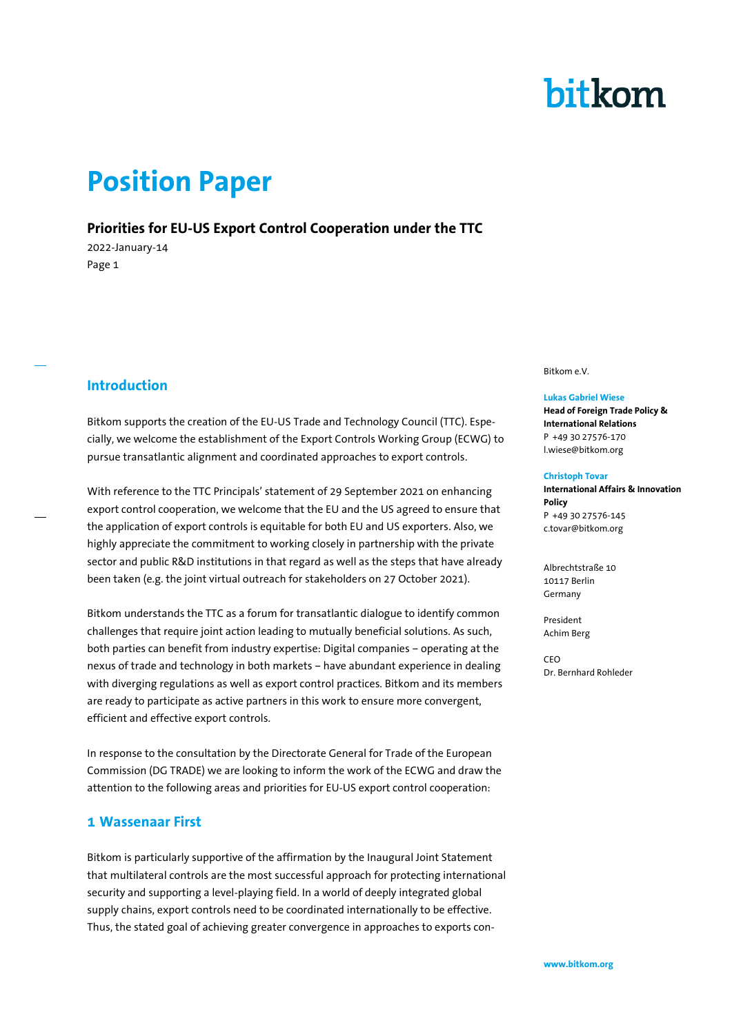# bitkom

# **Position Paper**

### **Priorities for EU-US Export Control Cooperation under the TTC**

2022-January-14 Page 1

# **Introduction**

Bitkom supports the creation of the EU-US Trade and Technology Council (TTC). Especially, we welcome the establishment of the Export Controls Working Group (ECWG) to pursue transatlantic alignment and coordinated approaches to export controls.

With reference to the TTC Principals' statement of 29 September 2021 on enhancing export control cooperation, we welcome that the EU and the US agreed to ensure that the application of export controls is equitable for both EU and US exporters. Also, we highly appreciate the commitment to working closely in partnership with the private sector and public R&D institutions in that regard as well as the steps that have already been taken (e.g. the joint virtual outreach for stakeholders on 27 October 2021).

Bitkom understands the TTC as a forum for transatlantic dialogue to identify common challenges that require joint action leading to mutually beneficial solutions. As such, both parties can benefit from industry expertise: Digital companies – operating at the nexus of trade and technology in both markets – have abundant experience in dealing with diverging regulations as well as export control practices. Bitkom and its members are ready to participate as active partners in this work to ensure more convergent, efficient and effective export controls.

In response to the consultation by the Directorate General for Trade of the European Commission (DG TRADE) we are looking to inform the work of the ECWG and draw the attention to the following areas and priorities for EU-US export control cooperation:

### **1 Wassenaar First**

Bitkom is particularly supportive of the affirmation by the Inaugural Joint Statement that multilateral controls are the most successful approach for protecting international security and supporting a level-playing field. In a world of deeply integrated global supply chains, export controls need to be coordinated internationally to be effective. Thus, the stated goal of achieving greater convergence in approaches to exports conBitkom e.V.

### **Lukas Gabriel Wiese**

**Head of Foreign Trade Policy & International Relations** P +49 30 27576-170 l.wiese@bitkom.org

### **Christoph Tovar**

**International Affairs & Innovation Policy** P +49 30 27576-145 c.tovar@bitkom.org

Albrechtstraße 10 10117 Berlin Germany

President Achim Berg

CEO Dr. Bernhard Rohleder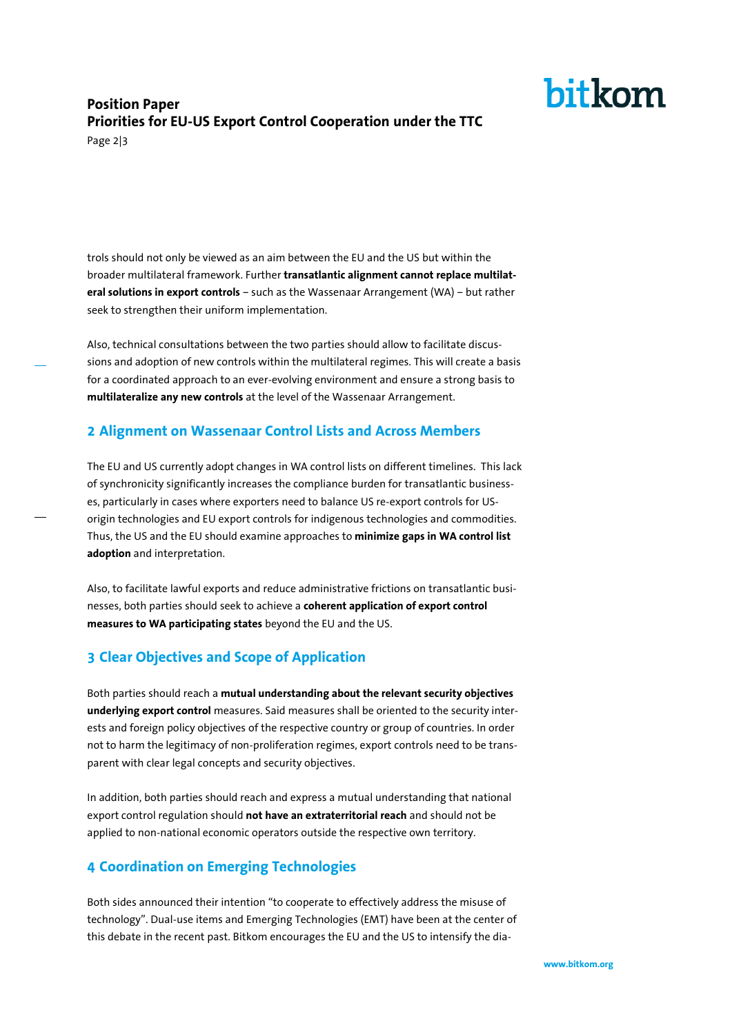# bitkom

# **Position Paper Priorities for EU-US Export Control Cooperation under the TTC**

Page 2|3

trols should not only be viewed as an aim between the EU and the US but within the broader multilateral framework. Further **transatlantic alignment cannot replace multilateral solutions in export controls** – such as the Wassenaar Arrangement (WA) – but rather seek to strengthen their uniform implementation.

Also, technical consultations between the two parties should allow to facilitate discussions and adoption of new controls within the multilateral regimes. This will create a basis for a coordinated approach to an ever-evolving environment and ensure a strong basis to **multilateralize any new controls** at the level of the Wassenaar Arrangement.

# **2 Alignment on Wassenaar Control Lists and Across Members**

The EU and US currently adopt changes in WA control lists on different timelines. This lack of synchronicity significantly increases the compliance burden for transatlantic businesses, particularly in cases where exporters need to balance US re-export controls for USorigin technologies and EU export controls for indigenous technologies and commodities. Thus, the US and the EU should examine approaches to **minimize gaps in WA control list adoption** and interpretation.

Also, to facilitate lawful exports and reduce administrative frictions on transatlantic businesses, both parties should seek to achieve a **coherent application of export control measures to WA participating states** beyond the EU and the US.

# **3 Clear Objectives and Scope of Application**

Both parties should reach a **mutual understanding about the relevant security objectives underlying export control** measures. Said measures shall be oriented to the security interests and foreign policy objectives of the respective country or group of countries. In order not to harm the legitimacy of non-proliferation regimes, export controls need to be transparent with clear legal concepts and security objectives.

In addition, both parties should reach and express a mutual understanding that national export control regulation should **not have an extraterritorial reach** and should not be applied to non-national economic operators outside the respective own territory.

# **4 Coordination on Emerging Technologies**

Both sides announced their intention "to cooperate to effectively address the misuse of technology". Dual-use items and Emerging Technologies (EMT) have been at the center of this debate in the recent past. Bitkom encourages the EU and the US to intensify the dia-